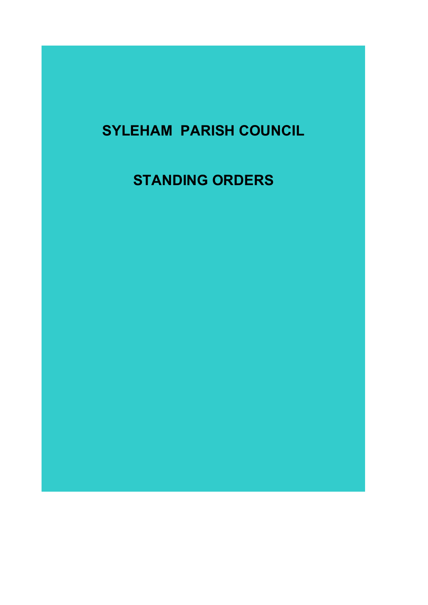# SYLEHAM PARISH COUNCIL

# STANDING ORDERS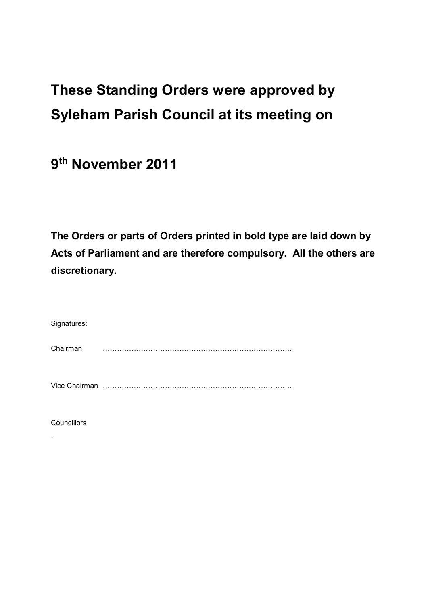# These Standing Orders were approved by Syleham Parish Council at its meeting on

9<sup>th</sup> November 2011

The Orders or parts of Orders printed in bold type are laid down by Acts of Parliament and are therefore compulsory. All the others are discretionary.

| Signatures: |  |
|-------------|--|
| Chairman    |  |
|             |  |

**Councillors** 

.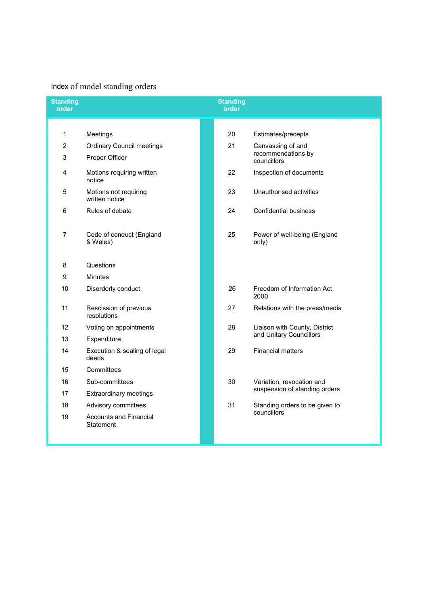### Index of model standing orders

| <b>Standing</b><br>order |                                                   |  | <b>Standing</b><br>order      |                                       |  |
|--------------------------|---------------------------------------------------|--|-------------------------------|---------------------------------------|--|
|                          |                                                   |  |                               |                                       |  |
| 1                        | Meetings                                          |  | 20                            | Estimates/precepts                    |  |
| $\overline{c}$           | <b>Ordinary Council meetings</b>                  |  | 21                            | Canvassing of and                     |  |
| 3                        | Proper Officer                                    |  |                               | recommendations by<br>councillors     |  |
| 4                        | Motions requiring written<br>notice               |  | 22                            | Inspection of documents               |  |
| 5                        | Motions not requiring<br>written notice           |  | 23                            | Unauthorised activities               |  |
| 6                        | Rules of debate                                   |  | 24                            | <b>Confidential business</b>          |  |
| $\overline{7}$           | Code of conduct (England<br>& Wales)              |  | 25                            | Power of well-being (England<br>only) |  |
| 8                        | Questions                                         |  |                               |                                       |  |
| 9                        | <b>Minutes</b>                                    |  |                               |                                       |  |
| 10                       | Disorderly conduct                                |  | 26                            | Freedom of Information Act<br>2000    |  |
| 11                       | Rescission of previous<br>resolutions             |  | 27                            | Relations with the press/media        |  |
| 12                       | Voting on appointments                            |  | 28                            | Liaison with County, District         |  |
| 13                       | Expenditure                                       |  |                               | and Unitary Councillors               |  |
| 14                       | Execution & sealing of legal<br>deeds             |  | 29                            | <b>Financial matters</b>              |  |
| 15                       | Committees                                        |  |                               |                                       |  |
| 16                       | Sub-committees<br>30<br>Extraordinary meetings    |  |                               | Variation, revocation and             |  |
| 17                       |                                                   |  | suspension of standing orders |                                       |  |
| 18                       | Advisory committees                               |  | 31                            | Standing orders to be given to        |  |
| 19                       | <b>Accounts and Financial</b><br><b>Statement</b> |  |                               | councillors                           |  |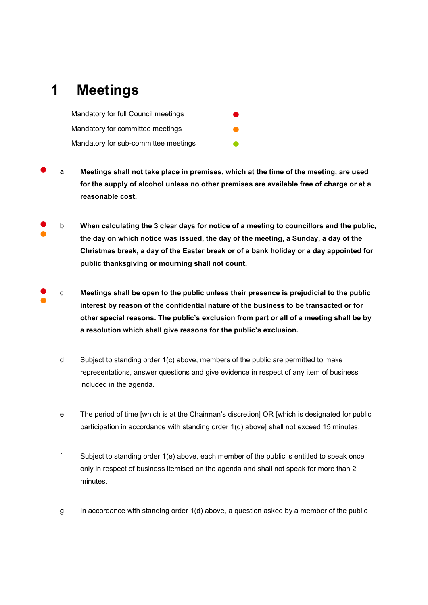## 1 Meetings

Mandatory for full Council meetings ● Mandatory for committee meetings Mandatory for sub-committee meetings

- a Meetings shall not take place in premises, which at the time of the meeting, are used for the supply of alcohol unless no other premises are available free of charge or at a reasonable cost.
- ● b When calculating the 3 clear days for notice of a meeting to councillors and the public, the day on which notice was issued, the day of the meeting, a Sunday, a day of the Christmas break, a day of the Easter break or of a bank holiday or a day appointed for public thanksgiving or mourning shall not count.
- ● c Meetings shall be open to the public unless their presence is prejudicial to the public interest by reason of the confidential nature of the business to be transacted or for other special reasons. The public's exclusion from part or all of a meeting shall be by a resolution which shall give reasons for the public's exclusion.
	- d Subject to standing order 1(c) above, members of the public are permitted to make representations, answer questions and give evidence in respect of any item of business included in the agenda.
	- e The period of time [which is at the Chairman's discretion] OR [which is designated for public participation in accordance with standing order 1(d) above] shall not exceed 15 minutes.
	- f Subject to standing order 1(e) above, each member of the public is entitled to speak once only in respect of business itemised on the agenda and shall not speak for more than 2 minutes.
	- g In accordance with standing order  $1(d)$  above, a question asked by a member of the public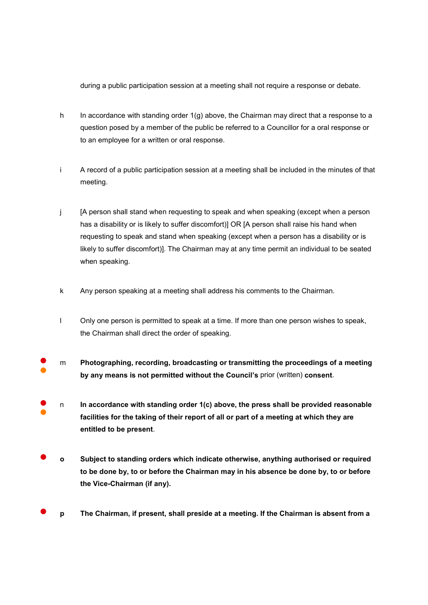during a public participation session at a meeting shall not require a response or debate.

- h In accordance with standing order  $1(q)$  above, the Chairman may direct that a response to a question posed by a member of the public be referred to a Councillor for a oral response or to an employee for a written or oral response.
- i A record of a public participation session at a meeting shall be included in the minutes of that meeting.
- j [A person shall stand when requesting to speak and when speaking (except when a person has a disability or is likely to suffer discomfort)] OR [A person shall raise his hand when requesting to speak and stand when speaking (except when a person has a disability or is likely to suffer discomfort)]. The Chairman may at any time permit an individual to be seated when speaking.
- k Any person speaking at a meeting shall address his comments to the Chairman.
- l Only one person is permitted to speak at a time. If more than one person wishes to speak, the Chairman shall direct the order of speaking.
- ● m Photographing, recording, broadcasting or transmitting the proceedings of a meeting by any means is not permitted without the Council's prior (written) consent.
- ● n In accordance with standing order 1(c) above, the press shall be provided reasonable facilities for the taking of their report of all or part of a meeting at which they are entitled to be present.
- o Subject to standing orders which indicate otherwise, anything authorised or required to be done by, to or before the Chairman may in his absence be done by, to or before the Vice-Chairman (if any).
- p The Chairman, if present, shall preside at a meeting. If the Chairman is absent from a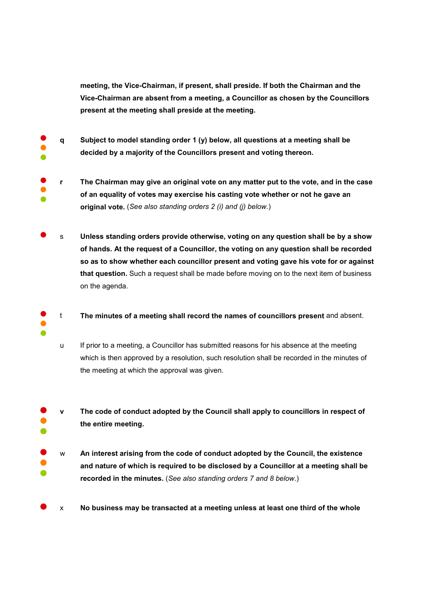meeting, the Vice-Chairman, if present, shall preside. If both the Chairman and the Vice-Chairman are absent from a meeting, a Councillor as chosen by the Councillors present at the meeting shall preside at the meeting.

- ● ● q Subject to model standing order 1 (y) below, all questions at a meeting shall be decided by a majority of the Councillors present and voting thereon.
- ● ● r The Chairman may give an original vote on any matter put to the vote, and in the case of an equality of votes may exercise his casting vote whether or not he gave an original vote. (See also standing orders 2 (i) and (j) below.)
- s Unless standing orders provide otherwise, voting on any question shall be by a show of hands. At the request of a Councillor, the voting on any question shall be recorded so as to show whether each councillor present and voting gave his vote for or against that question. Such a request shall be made before moving on to the next item of business on the agenda.
- ● ● t The minutes of a meeting shall record the names of councillors present and absent.
	- u If prior to a meeting, a Councillor has submitted reasons for his absence at the meeting which is then approved by a resolution, such resolution shall be recorded in the minutes of the meeting at which the approval was given.
- ● ● v The code of conduct adopted by the Council shall apply to councillors in respect of the entire meeting.
- ● ● w An interest arising from the code of conduct adopted by the Council, the existence and nature of which is required to be disclosed by a Councillor at a meeting shall be recorded in the minutes. (See also standing orders 7 and 8 below.)
- $\times$  No business may be transacted at a meeting unless at least one third of the whole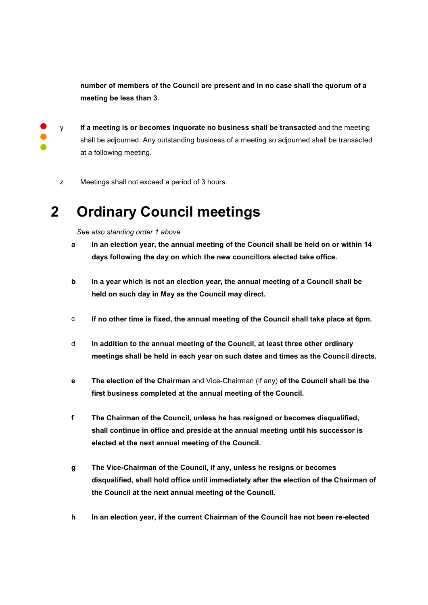number of members of the Council are present and in no case shall the quorum of a meeting be less than 3.

● ● ●

y If a meeting is or becomes inquorate no business shall be transacted and the meeting shall be adjourned. Any outstanding business of a meeting so adjourned shall be transacted at a following meeting.

z Meetings shall not exceed a period of 3 hours.

# 2 Ordinary Council meetings

See also standing order 1 above

- a In an election year, the annual meeting of the Council shall be held on or within 14 days following the day on which the new councillors elected take office.
- b In a year which is not an election year, the annual meeting of a Council shall be held on such day in May as the Council may direct.
- c If no other time is fixed, the annual meeting of the Council shall take place at 6pm.
- d In addition to the annual meeting of the Council, at least three other ordinary meetings shall be held in each year on such dates and times as the Council directs.
- e The election of the Chairman and Vice-Chairman (if any) of the Council shall be the first business completed at the annual meeting of the Council.
- f The Chairman of the Council, unless he has resigned or becomes disqualified, shall continue in office and preside at the annual meeting until his successor is elected at the next annual meeting of the Council.
- g The Vice-Chairman of the Council, if any, unless he resigns or becomes disqualified, shall hold office until immediately after the election of the Chairman of the Council at the next annual meeting of the Council.
- h In an election year, if the current Chairman of the Council has not been re-elected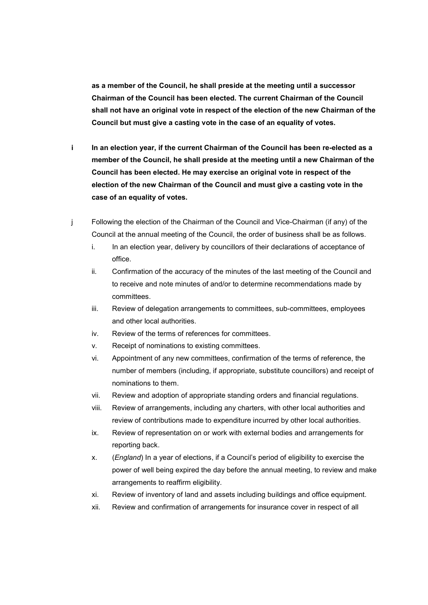as a member of the Council, he shall preside at the meeting until a successor Chairman of the Council has been elected. The current Chairman of the Council shall not have an original vote in respect of the election of the new Chairman of the Council but must give a casting vote in the case of an equality of votes.

- i In an election year, if the current Chairman of the Council has been re-elected as a member of the Council, he shall preside at the meeting until a new Chairman of the Council has been elected. He may exercise an original vote in respect of the election of the new Chairman of the Council and must give a casting vote in the case of an equality of votes.
- j Following the election of the Chairman of the Council and Vice-Chairman (if any) of the Council at the annual meeting of the Council, the order of business shall be as follows.
	- i. In an election year, delivery by councillors of their declarations of acceptance of office.
	- ii. Confirmation of the accuracy of the minutes of the last meeting of the Council and to receive and note minutes of and/or to determine recommendations made by committees.
	- iii. Review of delegation arrangements to committees, sub-committees, employees and other local authorities.
	- iv. Review of the terms of references for committees.
	- v. Receipt of nominations to existing committees.
	- vi. Appointment of any new committees, confirmation of the terms of reference, the number of members (including, if appropriate, substitute councillors) and receipt of nominations to them.
	- vii. Review and adoption of appropriate standing orders and financial regulations.
	- viii. Review of arrangements, including any charters, with other local authorities and review of contributions made to expenditure incurred by other local authorities.
	- ix. Review of representation on or work with external bodies and arrangements for reporting back.
	- x. (England) In a year of elections, if a Council's period of eligibility to exercise the power of well being expired the day before the annual meeting, to review and make arrangements to reaffirm eligibility.
	- xi. Review of inventory of land and assets including buildings and office equipment.
	- xii. Review and confirmation of arrangements for insurance cover in respect of all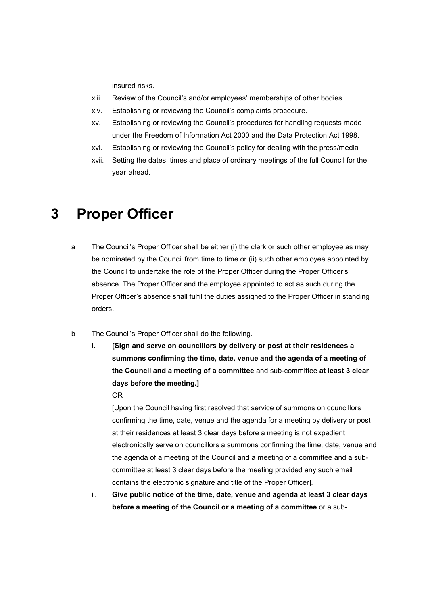insured risks.

- xiii. Review of the Council's and/or employees' memberships of other bodies.
- xiv. Establishing or reviewing the Council's complaints procedure.
- xv. Establishing or reviewing the Council's procedures for handling requests made under the Freedom of Information Act 2000 and the Data Protection Act 1998.
- xvi. Establishing or reviewing the Council's policy for dealing with the press/media
- xvii. Setting the dates, times and place of ordinary meetings of the full Council for the year ahead.

### 3 Proper Officer

- a The Council's Proper Officer shall be either (i) the clerk or such other employee as may be nominated by the Council from time to time or (ii) such other employee appointed by the Council to undertake the role of the Proper Officer during the Proper Officer's absence. The Proper Officer and the employee appointed to act as such during the Proper Officer's absence shall fulfil the duties assigned to the Proper Officer in standing orders.
- b The Council's Proper Officer shall do the following.
	- i. [Sign and serve on councillors by delivery or post at their residences a summons confirming the time, date, venue and the agenda of a meeting of the Council and a meeting of a committee and sub-committee at least 3 clear days before the meeting.]

OR

[Upon the Council having first resolved that service of summons on councillors confirming the time, date, venue and the agenda for a meeting by delivery or post at their residences at least 3 clear days before a meeting is not expedient electronically serve on councillors a summons confirming the time, date, venue and the agenda of a meeting of the Council and a meeting of a committee and a subcommittee at least 3 clear days before the meeting provided any such email contains the electronic signature and title of the Proper Officer].

ii. Give public notice of the time, date, venue and agenda at least 3 clear days before a meeting of the Council or a meeting of a committee or a sub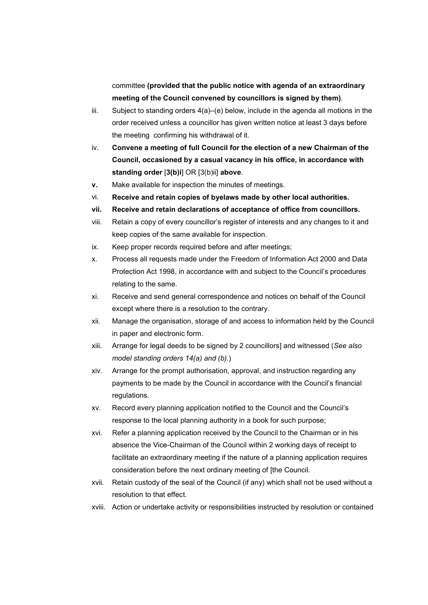committee (provided that the public notice with agenda of an extraordinary meeting of the Council convened by councillors is signed by them).

- iii. Subject to standing orders  $4(a)$ –(e) below, include in the agenda all motions in the order received unless a councillor has given written notice at least 3 days before the meeting confirming his withdrawal of it.
- iv. Convene a meeting of full Council for the election of a new Chairman of the Council, occasioned by a casual vacancy in his office, in accordance with standing order [3(b)i] OR [3(b)ii] above.
- v. Make available for inspection the minutes of meetings.
- vi. Receive and retain copies of byelaws made by other local authorities.
- vii. Receive and retain declarations of acceptance of office from councillors.
- viii. Retain a copy of every councillor's register of interests and any changes to it and keep copies of the same available for inspection.
- ix. Keep proper records required before and after meetings;
- x. Process all requests made under the Freedom of Information Act 2000 and Data Protection Act 1998, in accordance with and subject to the Council's procedures relating to the same.
- xi. Receive and send general correspondence and notices on behalf of the Council except where there is a resolution to the contrary.
- xii. Manage the organisation, storage of and access to information held by the Council in paper and electronic form.
- xiii. Arrange for legal deeds to be signed by 2 councillors] and witnessed (See also model standing orders 14(a) and (b).)
- xiv. Arrange for the prompt authorisation, approval, and instruction regarding any payments to be made by the Council in accordance with the Council's financial regulations.
- xv. Record every planning application notified to the Council and the Council's response to the local planning authority in a book for such purpose;
- xvi. Refer a planning application received by the Council to the Chairman or in his absence the Vice-Chairman of the Council within 2 working days of receipt to facilitate an extraordinary meeting if the nature of a planning application requires consideration before the next ordinary meeting of [the Council.
- xvii. Retain custody of the seal of the Council (if any) which shall not be used without a resolution to that effect.
- xviii. Action or undertake activity or responsibilities instructed by resolution or contained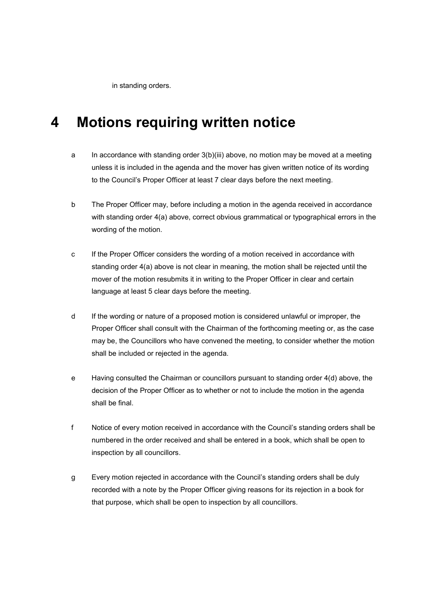in standing orders.

### 4 Motions requiring written notice

- a In accordance with standing order  $3(b)(iii)$  above, no motion may be moved at a meeting unless it is included in the agenda and the mover has given written notice of its wording to the Council's Proper Officer at least 7 clear days before the next meeting.
- b The Proper Officer may, before including a motion in the agenda received in accordance with standing order 4(a) above, correct obvious grammatical or typographical errors in the wording of the motion.
- c If the Proper Officer considers the wording of a motion received in accordance with standing order 4(a) above is not clear in meaning, the motion shall be rejected until the mover of the motion resubmits it in writing to the Proper Officer in clear and certain language at least 5 clear days before the meeting.
- d If the wording or nature of a proposed motion is considered unlawful or improper, the Proper Officer shall consult with the Chairman of the forthcoming meeting or, as the case may be, the Councillors who have convened the meeting, to consider whether the motion shall be included or rejected in the agenda.
- e Having consulted the Chairman or councillors pursuant to standing order 4(d) above, the decision of the Proper Officer as to whether or not to include the motion in the agenda shall be final.
- f Notice of every motion received in accordance with the Council's standing orders shall be numbered in the order received and shall be entered in a book, which shall be open to inspection by all councillors.
- g Every motion rejected in accordance with the Council's standing orders shall be duly recorded with a note by the Proper Officer giving reasons for its rejection in a book for that purpose, which shall be open to inspection by all councillors.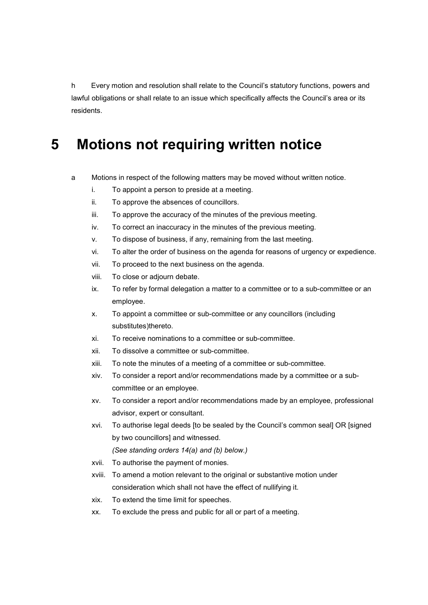h Every motion and resolution shall relate to the Council's statutory functions, powers and lawful obligations or shall relate to an issue which specifically affects the Council's area or its residents.

### 5 Motions not requiring written notice

- a Motions in respect of the following matters may be moved without written notice.
	- i. To appoint a person to preside at a meeting.
	- ii. To approve the absences of councillors.
	- iii. To approve the accuracy of the minutes of the previous meeting.
	- iv. To correct an inaccuracy in the minutes of the previous meeting.
	- v. To dispose of business, if any, remaining from the last meeting.
	- vi. To alter the order of business on the agenda for reasons of urgency or expedience.
	- vii. To proceed to the next business on the agenda.
	- viii. To close or adjourn debate.
	- ix. To refer by formal delegation a matter to a committee or to a sub-committee or an employee.
	- x. To appoint a committee or sub-committee or any councillors (including substitutes)thereto.
	- xi. To receive nominations to a committee or sub-committee.
	- xii. To dissolve a committee or sub-committee.
	- xiii. To note the minutes of a meeting of a committee or sub-committee.
	- xiv. To consider a report and/or recommendations made by a committee or a subcommittee or an employee.
	- xv. To consider a report and/or recommendations made by an employee, professional advisor, expert or consultant.
	- xvi. To authorise legal deeds [to be sealed by the Council's common seal] OR [signed by two councillors] and witnessed.

(See standing orders 14(a) and (b) below.)

- xvii. To authorise the payment of monies.
- xviii. To amend a motion relevant to the original or substantive motion under consideration which shall not have the effect of nullifying it.
- xix. To extend the time limit for speeches.
- xx. To exclude the press and public for all or part of a meeting.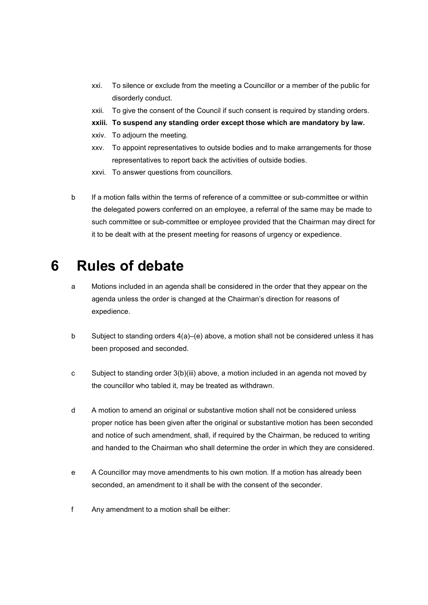- xxi. To silence or exclude from the meeting a Councillor or a member of the public for disorderly conduct.
- xxii. To give the consent of the Council if such consent is required by standing orders.
- xxiii. To suspend any standing order except those which are mandatory by law.
- xxiv. To adjourn the meeting.
- xxv. To appoint representatives to outside bodies and to make arrangements for those representatives to report back the activities of outside bodies.
- xxvi. To answer questions from councillors.
- b If a motion falls within the terms of reference of a committee or sub-committee or within the delegated powers conferred on an employee, a referral of the same may be made to such committee or sub-committee or employee provided that the Chairman may direct for it to be dealt with at the present meeting for reasons of urgency or expedience.

### 6 Rules of debate

- a Motions included in an agenda shall be considered in the order that they appear on the agenda unless the order is changed at the Chairman's direction for reasons of expedience.
- b Subject to standing orders 4(a)–(e) above, a motion shall not be considered unless it has been proposed and seconded.
- c Subject to standing order 3(b)(iii) above, a motion included in an agenda not moved by the councillor who tabled it, may be treated as withdrawn.
- d A motion to amend an original or substantive motion shall not be considered unless proper notice has been given after the original or substantive motion has been seconded and notice of such amendment, shall, if required by the Chairman, be reduced to writing and handed to the Chairman who shall determine the order in which they are considered.
- e A Councillor may move amendments to his own motion. If a motion has already been seconded, an amendment to it shall be with the consent of the seconder.
- f Any amendment to a motion shall be either: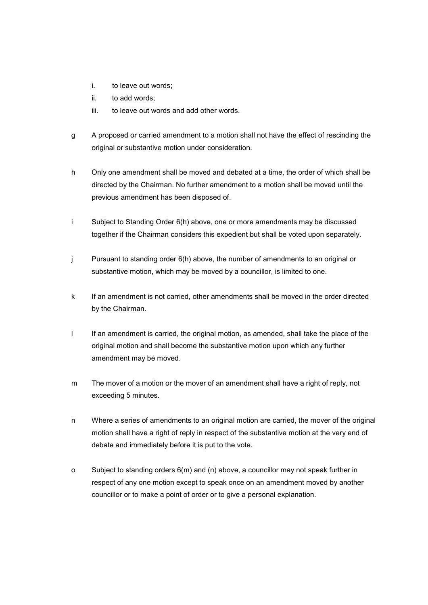- i. to leave out words;
- ii. to add words;
- iii. to leave out words and add other words.
- g A proposed or carried amendment to a motion shall not have the effect of rescinding the original or substantive motion under consideration.
- h Only one amendment shall be moved and debated at a time, the order of which shall be directed by the Chairman. No further amendment to a motion shall be moved until the previous amendment has been disposed of.
- i Subject to Standing Order 6(h) above, one or more amendments may be discussed together if the Chairman considers this expedient but shall be voted upon separately.
- j Pursuant to standing order 6(h) above, the number of amendments to an original or substantive motion, which may be moved by a councillor, is limited to one.
- k If an amendment is not carried, other amendments shall be moved in the order directed by the Chairman.
- I If an amendment is carried, the original motion, as amended, shall take the place of the original motion and shall become the substantive motion upon which any further amendment may be moved.
- m The mover of a motion or the mover of an amendment shall have a right of reply, not exceeding 5 minutes.
- n Where a series of amendments to an original motion are carried, the mover of the original motion shall have a right of reply in respect of the substantive motion at the very end of debate and immediately before it is put to the vote.
- o Subject to standing orders 6(m) and (n) above, a councillor may not speak further in respect of any one motion except to speak once on an amendment moved by another councillor or to make a point of order or to give a personal explanation.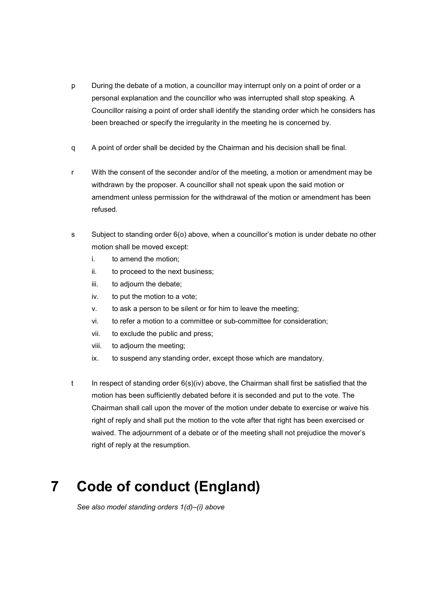- p During the debate of a motion, a councillor may interrupt only on a point of order or a personal explanation and the councillor who was interrupted shall stop speaking. A Councillor raising a point of order shall identify the standing order which he considers has been breached or specify the irregularity in the meeting he is concerned by.
- q A point of order shall be decided by the Chairman and his decision shall be final.
- r With the consent of the seconder and/or of the meeting, a motion or amendment may be withdrawn by the proposer. A councillor shall not speak upon the said motion or amendment unless permission for the withdrawal of the motion or amendment has been refused.
- s Subject to standing order 6(o) above, when a councillor's motion is under debate no other motion shall be moved except:
	- i. to amend the motion;
	- ii. to proceed to the next business;
	- iii. to adjourn the debate;
	- iv. to put the motion to a vote;
	- v. to ask a person to be silent or for him to leave the meeting;
	- vi. to refer a motion to a committee or sub-committee for consideration;
	- vii. to exclude the public and press;
	- viii. to adjourn the meeting;
	- ix. to suspend any standing order, except those which are mandatory.
- t In respect of standing order  $6(s)(iv)$  above, the Chairman shall first be satisfied that the motion has been sufficiently debated before it is seconded and put to the vote. The Chairman shall call upon the mover of the motion under debate to exercise or waive his right of reply and shall put the motion to the vote after that right has been exercised or waived. The adjournment of a debate or of the meeting shall not prejudice the mover's right of reply at the resumption.

# 7 Code of conduct (England)

See also model standing orders 1(d)–(i) above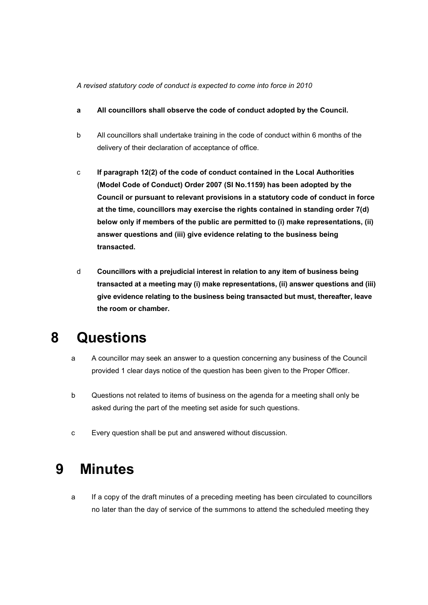#### A revised statutory code of conduct is expected to come into force in 2010

- a All councillors shall observe the code of conduct adopted by the Council.
- b All councillors shall undertake training in the code of conduct within 6 months of the delivery of their declaration of acceptance of office.
- c If paragraph 12(2) of the code of conduct contained in the Local Authorities (Model Code of Conduct) Order 2007 (SI No.1159) has been adopted by the Council or pursuant to relevant provisions in a statutory code of conduct in force at the time, councillors may exercise the rights contained in standing order 7(d) below only if members of the public are permitted to (i) make representations, (ii) answer questions and (iii) give evidence relating to the business being transacted.
- d Councillors with a prejudicial interest in relation to any item of business being transacted at a meeting may (i) make representations, (ii) answer questions and (iii) give evidence relating to the business being transacted but must, thereafter, leave the room or chamber.

### 8 Questions

- a A councillor may seek an answer to a question concerning any business of the Council provided 1 clear days notice of the question has been given to the Proper Officer.
- b Questions not related to items of business on the agenda for a meeting shall only be asked during the part of the meeting set aside for such questions.
- c Every question shall be put and answered without discussion.

### 9 Minutes

a If a copy of the draft minutes of a preceding meeting has been circulated to councillors no later than the day of service of the summons to attend the scheduled meeting they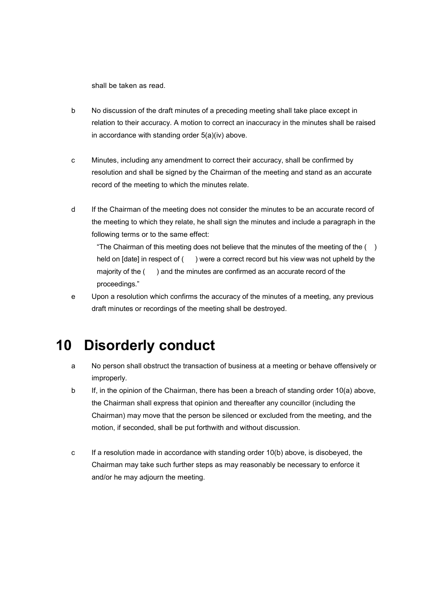shall be taken as read.

- b No discussion of the draft minutes of a preceding meeting shall take place except in relation to their accuracy. A motion to correct an inaccuracy in the minutes shall be raised in accordance with standing order 5(a)(iv) above.
- c Minutes, including any amendment to correct their accuracy, shall be confirmed by resolution and shall be signed by the Chairman of the meeting and stand as an accurate record of the meeting to which the minutes relate.
- d If the Chairman of the meeting does not consider the minutes to be an accurate record of the meeting to which they relate, he shall sign the minutes and include a paragraph in the following terms or to the same effect:

"The Chairman of this meeting does not believe that the minutes of the meeting of the  $( )$ held on [date] in respect of () were a correct record but his view was not upheld by the majority of the () and the minutes are confirmed as an accurate record of the proceedings."

e Upon a resolution which confirms the accuracy of the minutes of a meeting, any previous draft minutes or recordings of the meeting shall be destroyed.

### 10 Disorderly conduct

- a No person shall obstruct the transaction of business at a meeting or behave offensively or improperly.
- b If, in the opinion of the Chairman, there has been a breach of standing order 10(a) above, the Chairman shall express that opinion and thereafter any councillor (including the Chairman) may move that the person be silenced or excluded from the meeting, and the motion, if seconded, shall be put forthwith and without discussion.
- c If a resolution made in accordance with standing order 10(b) above, is disobeyed, the Chairman may take such further steps as may reasonably be necessary to enforce it and/or he may adjourn the meeting.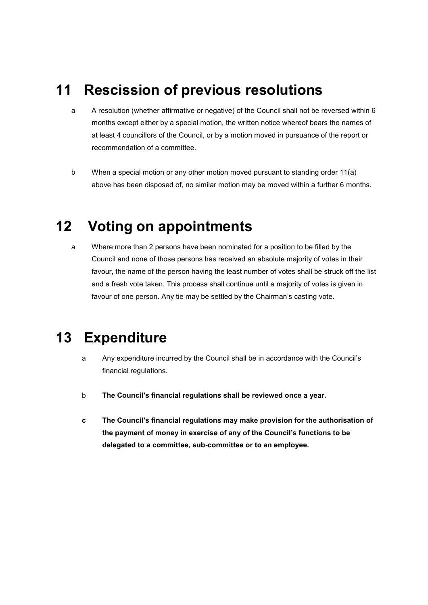## 11 Rescission of previous resolutions

- a A resolution (whether affirmative or negative) of the Council shall not be reversed within 6 months except either by a special motion, the written notice whereof bears the names of at least 4 councillors of the Council, or by a motion moved in pursuance of the report or recommendation of a committee.
- b When a special motion or any other motion moved pursuant to standing order 11(a) above has been disposed of, no similar motion may be moved within a further 6 months.

### 12 Voting on appointments

a Where more than 2 persons have been nominated for a position to be filled by the Council and none of those persons has received an absolute majority of votes in their favour, the name of the person having the least number of votes shall be struck off the list and a fresh vote taken. This process shall continue until a majority of votes is given in favour of one person. Any tie may be settled by the Chairman's casting vote.

### 13 Expenditure

- a Any expenditure incurred by the Council shall be in accordance with the Council's financial regulations.
- b The Council's financial regulations shall be reviewed once a year.
- c The Council's financial regulations may make provision for the authorisation of the payment of money in exercise of any of the Council's functions to be delegated to a committee, sub-committee or to an employee.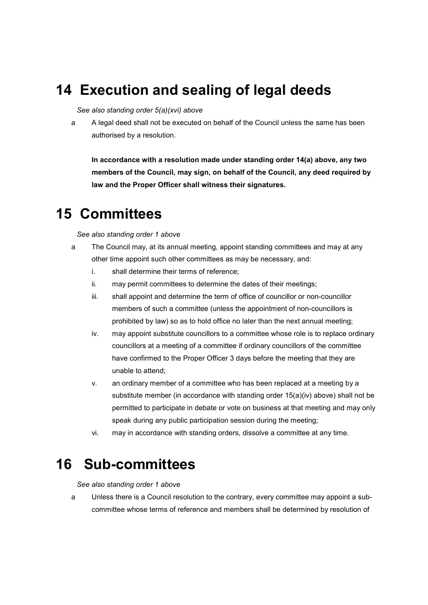## 14 Execution and sealing of legal deeds

#### See also standing order 5(a)(xvi) above

a A legal deed shall not be executed on behalf of the Council unless the same has been authorised by a resolution.

In accordance with a resolution made under standing order 14(a) above, any two members of the Council, may sign, on behalf of the Council, any deed required by law and the Proper Officer shall witness their signatures.

### 15 Committees

#### See also standing order 1 above

- a The Council may, at its annual meeting, appoint standing committees and may at any other time appoint such other committees as may be necessary, and:
	- i. shall determine their terms of reference;
	- ii. may permit committees to determine the dates of their meetings;
	- iii. shall appoint and determine the term of office of councillor or non-councillor members of such a committee (unless the appointment of non-councillors is prohibited by law) so as to hold office no later than the next annual meeting;
	- iv. may appoint substitute councillors to a committee whose role is to replace ordinary councillors at a meeting of a committee if ordinary councillors of the committee have confirmed to the Proper Officer 3 days before the meeting that they are unable to attend;
	- v. an ordinary member of a committee who has been replaced at a meeting by a substitute member (in accordance with standing order 15(a)(iv) above) shall not be permitted to participate in debate or vote on business at that meeting and may only speak during any public participation session during the meeting;
	- vi. may in accordance with standing orders, dissolve a committee at any time.

### 16 Sub-committees

See also standing order 1 above

a Unless there is a Council resolution to the contrary, every committee may appoint a subcommittee whose terms of reference and members shall be determined by resolution of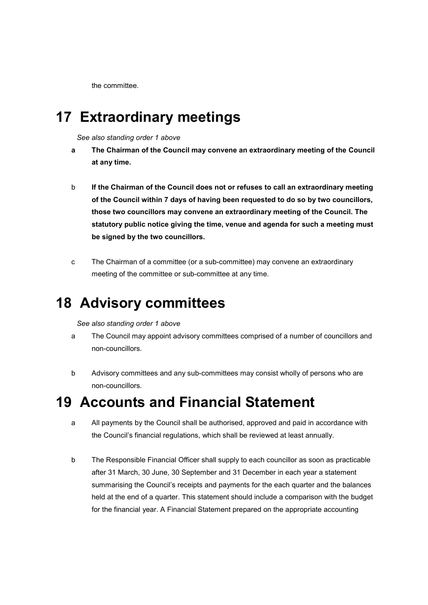the committee.

### 17 Extraordinary meetings

See also standing order 1 above

- a The Chairman of the Council may convene an extraordinary meeting of the Council at any time.
- b If the Chairman of the Council does not or refuses to call an extraordinary meeting of the Council within 7 days of having been requested to do so by two councillors, those two councillors may convene an extraordinary meeting of the Council. The statutory public notice giving the time, venue and agenda for such a meeting must be signed by the two councillors.
- c The Chairman of a committee (or a sub-committee) may convene an extraordinary meeting of the committee or sub-committee at any time.

# 18 Advisory committees

#### See also standing order 1 above

- a The Council may appoint advisory committees comprised of a number of councillors and non-councillors.
- b Advisory committees and any sub-committees may consist wholly of persons who are non-councillors.

### 19 Accounts and Financial Statement

- a All payments by the Council shall be authorised, approved and paid in accordance with the Council's financial regulations, which shall be reviewed at least annually.
- b The Responsible Financial Officer shall supply to each councillor as soon as practicable after 31 March, 30 June, 30 September and 31 December in each year a statement summarising the Council's receipts and payments for the each quarter and the balances held at the end of a quarter. This statement should include a comparison with the budget for the financial year. A Financial Statement prepared on the appropriate accounting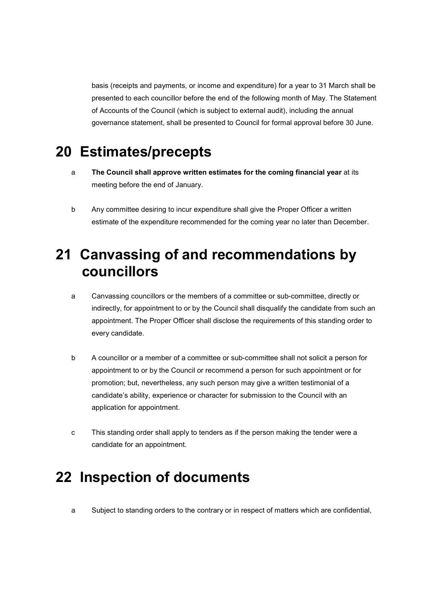basis (receipts and payments, or income and expenditure) for a year to 31 March shall be presented to each councillor before the end of the following month of May. The Statement of Accounts of the Council (which is subject to external audit), including the annual governance statement, shall be presented to Council for formal approval before 30 June.

### 20 Estimates/precepts

- a The Council shall approve written estimates for the coming financial year at its meeting before the end of January.
- b Any committee desiring to incur expenditure shall give the Proper Officer a written estimate of the expenditure recommended for the coming year no later than December.

## 21 Canvassing of and recommendations by councillors

- a Canvassing councillors or the members of a committee or sub-committee, directly or indirectly, for appointment to or by the Council shall disqualify the candidate from such an appointment. The Proper Officer shall disclose the requirements of this standing order to every candidate.
- b A councillor or a member of a committee or sub-committee shall not solicit a person for appointment to or by the Council or recommend a person for such appointment or for promotion; but, nevertheless, any such person may give a written testimonial of a candidate's ability, experience or character for submission to the Council with an application for appointment.
- c This standing order shall apply to tenders as if the person making the tender were a candidate for an appointment.

### 22 Inspection of documents

a Subject to standing orders to the contrary or in respect of matters which are confidential,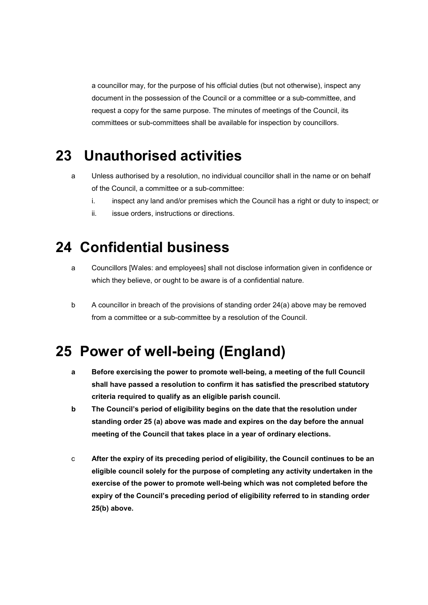a councillor may, for the purpose of his official duties (but not otherwise), inspect any document in the possession of the Council or a committee or a sub-committee, and request a copy for the same purpose. The minutes of meetings of the Council, its committees or sub-committees shall be available for inspection by councillors.

### 23 Unauthorised activities

- a Unless authorised by a resolution, no individual councillor shall in the name or on behalf of the Council, a committee or a sub-committee:
	- i. inspect any land and/or premises which the Council has a right or duty to inspect; or
	- ii. issue orders, instructions or directions.

### 24 Confidential business

- a Councillors [Wales: and employees] shall not disclose information given in confidence or which they believe, or ought to be aware is of a confidential nature.
- b A councillor in breach of the provisions of standing order 24(a) above may be removed from a committee or a sub-committee by a resolution of the Council.

### 25 Power of well-being (England)

- a Before exercising the power to promote well-being, a meeting of the full Council shall have passed a resolution to confirm it has satisfied the prescribed statutory criteria required to qualify as an eligible parish council.
- b The Council's period of eligibility begins on the date that the resolution under standing order 25 (a) above was made and expires on the day before the annual meeting of the Council that takes place in a year of ordinary elections.
- c After the expiry of its preceding period of eligibility, the Council continues to be an eligible council solely for the purpose of completing any activity undertaken in the exercise of the power to promote well-being which was not completed before the expiry of the Council's preceding period of eligibility referred to in standing order 25(b) above.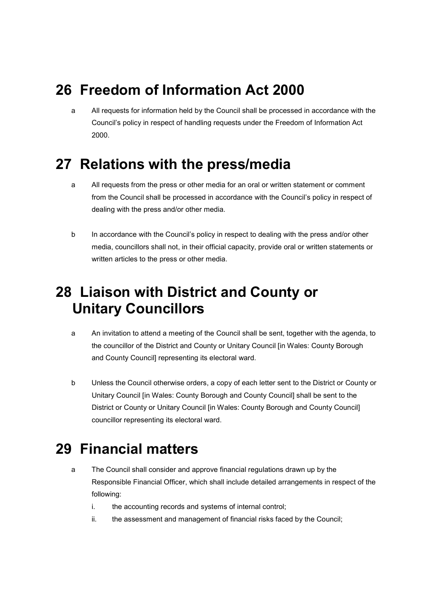# 26 Freedom of Information Act 2000

a All requests for information held by the Council shall be processed in accordance with the Council's policy in respect of handling requests under the Freedom of Information Act 2000.

### 27 Relations with the press/media

- a All requests from the press or other media for an oral or written statement or comment from the Council shall be processed in accordance with the Council's policy in respect of dealing with the press and/or other media.
- b In accordance with the Council's policy in respect to dealing with the press and/or other media, councillors shall not, in their official capacity, provide oral or written statements or written articles to the press or other media.

## 28 Liaison with District and County or Unitary Councillors

- a An invitation to attend a meeting of the Council shall be sent, together with the agenda, to the councillor of the District and County or Unitary Council [in Wales: County Borough and County Council] representing its electoral ward.
- b Unless the Council otherwise orders, a copy of each letter sent to the District or County or Unitary Council [in Wales: County Borough and County Council] shall be sent to the District or County or Unitary Council [in Wales: County Borough and County Council] councillor representing its electoral ward.

# 29 Financial matters

- a The Council shall consider and approve financial regulations drawn up by the Responsible Financial Officer, which shall include detailed arrangements in respect of the following:
	- i. the accounting records and systems of internal control;
	- ii. the assessment and management of financial risks faced by the Council;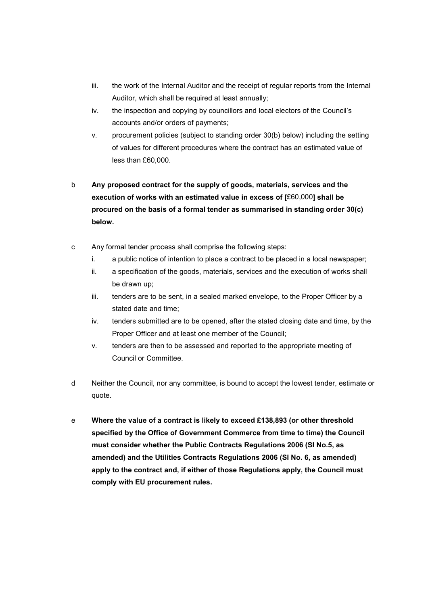- iii. the work of the Internal Auditor and the receipt of regular reports from the Internal Auditor, which shall be required at least annually;
- iv. the inspection and copying by councillors and local electors of the Council's accounts and/or orders of payments;
- v. procurement policies (subject to standing order 30(b) below) including the setting of values for different procedures where the contract has an estimated value of less than £60,000.
- b Any proposed contract for the supply of goods, materials, services and the execution of works with an estimated value in excess of [£60,000] shall be procured on the basis of a formal tender as summarised in standing order 30(c) below.
- c Any formal tender process shall comprise the following steps:
	- i. a public notice of intention to place a contract to be placed in a local newspaper;
	- ii. a specification of the goods, materials, services and the execution of works shall be drawn up;
	- iii. tenders are to be sent, in a sealed marked envelope, to the Proper Officer by a stated date and time;
	- iv. tenders submitted are to be opened, after the stated closing date and time, by the Proper Officer and at least one member of the Council;
	- v. tenders are then to be assessed and reported to the appropriate meeting of Council or Committee.
- d Neither the Council, nor any committee, is bound to accept the lowest tender, estimate or quote.
- e Where the value of a contract is likely to exceed £138,893 (or other threshold specified by the Office of Government Commerce from time to time) the Council must consider whether the Public Contracts Regulations 2006 (SI No.5, as amended) and the Utilities Contracts Regulations 2006 (SI No. 6, as amended) apply to the contract and, if either of those Regulations apply, the Council must comply with EU procurement rules.